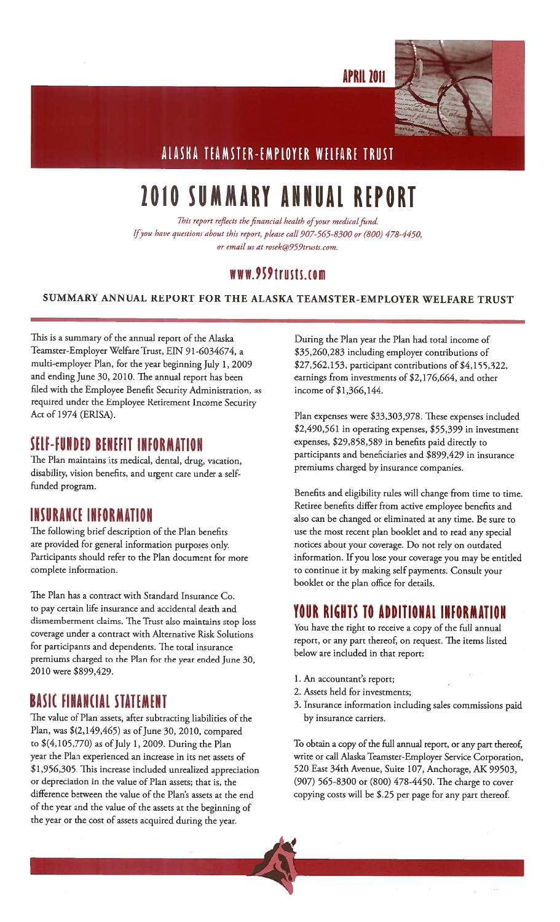**APRIL 2011** 



## ALASKA TEAMSTER-EMPLOYER WELFARE TRUST

# 2010 SUMMARY ANNUAL REPORT

This report reflects the financial health of your medical fund. Ifyou have questions about this report, <sup>p</sup>lease call 907-565-8300 or (800) 478-4450, or email us at rosek@959trusts.com.

#### WW.959trusts.com

#### SUMMARY ANNUAL REPORT FOR THE ALASKA TEAMSTER-EMPLOYER WELFARE TRUST

This is <sup>a</sup> summary of the annual report of the Alaska Teamster-Employer Welfare Trust, EIN 91-6034674, a multi-employer Plan, for the year beginning July 1, 2009 and ending June 30, 2010. The annual report has been filed with the Employee Benefit Security Administration, as required under the Employee Retirement Income Security Act of 1974 (ERISA).

### SELF-FUNDED BENEFIT INFORMATION

The Plan maintains its medical, dental, drug, vacation, disability, vision benefits, and urgent care under <sup>a</sup> selffunded program.

### INSURANCE INFORMATION

The following brief description of the Plan benefits are provided for genera<sup>l</sup> information purposes only. Participants should refer to the Plan document for more complete information.

The Plan has <sup>a</sup> contract with Standard Insurance Co. to pay certain life insurance and accidental death and dismemberment claims. The Trust also maintains stop loss coverage under <sup>a</sup> contract with Alternative Risk Solutions for participants and dependents. The total insurance premiums charged to the Plan for the year ended June 30, 2010 were \$899,429.

### BASIC FINANCIAL STATEMENT

The value of Plan assets, after subtracting liabilities of the Plan, was  $$(2,149,465)$  as of June 30, 2010, compared to  $$(4,105,770)$  as of July 1, 2009. During the Plan year the Plan experienced an increase in its net assets of \$1,956,305. This increase included unrealized appreciation or depreciation in the value of Plan assets; that is, the difference between the value of the Plan's assets at the end of the year and the value of the assets at the beginning of the year or the cost of assets acquired during the year.

During the Plan year the Plan had total income of \$35,260,283 including employer contributions of \$27,562,153, participant contributions of \$4,155,322, earnings from investments of \$2,176,664, and other income of \$1,366,144.

Plan expenses were \$33,303,978. These expenses included \$2,490,561 in operating expenses, \$55,399 in investment expenses, \$29,858,589 in benefits paid directly to participants and beneficiaries and \$899,429 in insurance premiums charged by insurance companies.

Benefits and eligibility rules will change from time to time. Retiree benefits differ from active employee benefits and also can be changed or eliminated at any time. Be sure to use the most recent <sup>p</sup>lan booklet and to read any special notices about your coverage. Do not rely on outdated information. If you lose your coverage you may be entitled to continue it by making self payments. Consult your booklet or the plan office for details.

### TOUR RIGHTS TO ADDITIONAL INFORMATION

You have the right to receive a copy of the full annual report, or any part thereof, on request. The items listed below are included in that report:

1. An accountant's report;

4

- 2. Assets held for investments;
- 3. Insurance information including sales commissions paid by insurance carriers.

To obtain a copy of the full annual report, or any part thereof, write or call Alaska Teamster-Employer Service Corporation, 520 East 34th Avenue, Suite 107, Anchorage, AK 99503, (907) 565-8300 or (800) 478-4450. The charge to cover copying costs will be \$.25 per page for any part thereof.